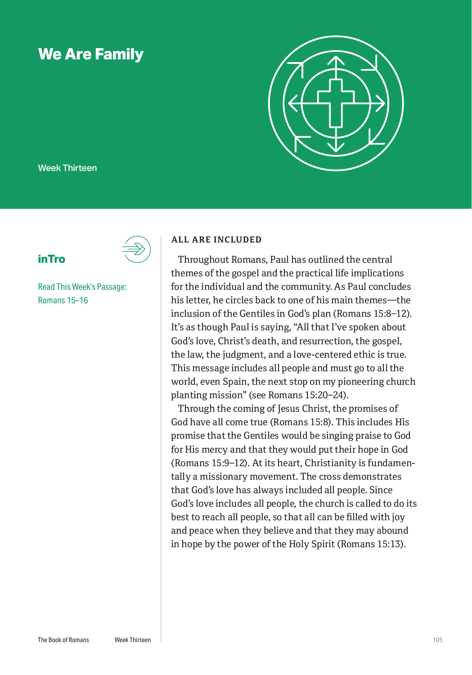# **We Are Family**



Week Thirteen

## **inTro**

Read This Week's Passage: Romans 15–16

#### **ALL ARE INCLUDED**

Throughout Romans, Paul has outlined the central themes of the gospel and the practical life implications for the individual and the community. As Paul concludes his letter, he circles back to one of his main themes—the inclusion of the Gentiles in God's plan (Romans 15:8–12). It's as though Paul is saying, "All that I've spoken about God's love, Christ's death, and resurrection, the gospel, the law, the judgment, and a love-centered ethic is true. This message includes all people and must go to all the world, even Spain, the next stop on my pioneering church planting mission" (see Romans 15:20–24).

Through the coming of Jesus Christ, the promises of God have all come true (Romans 15:8). This includes His promise that the Gentiles would be singing praise to God for His mercy and that they would put their hope in God (Romans 15:9–12). At its heart, Christianity is fundamentally a missionary movement. The cross demonstrates that God's love has always included all people. Since God's love includes all people, the church is called to do its best to reach all people, so that all can be filled with joy and peace when they believe and that they may abound in hope by the power of the Holy Spirit (Romans 15:13).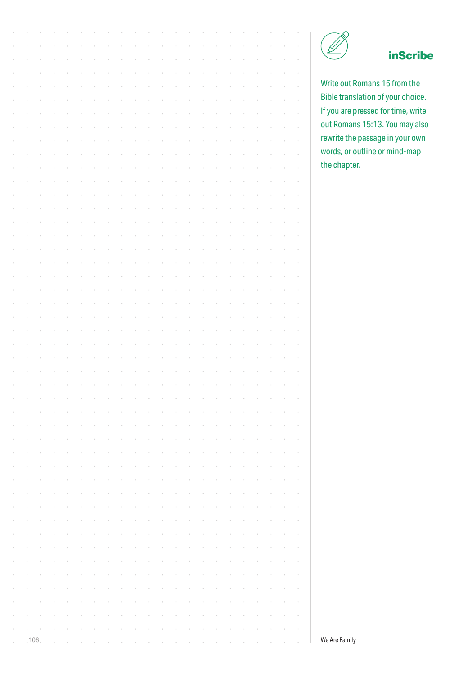

# **inScribe**

Write out Romans 15 from the Bible translation of your choice. If you are pressed for time, write out Romans 15:13. You may also rewrite the passage in your own words, or outline or mind-map the chapter.

| Write out R        |  |  |  |  |  |  |  |  |  |      |            |
|--------------------|--|--|--|--|--|--|--|--|--|------|------------|
| <b>Bible trans</b> |  |  |  |  |  |  |  |  |  |      |            |
| If you are p       |  |  |  |  |  |  |  |  |  |      |            |
| out Roman          |  |  |  |  |  |  |  |  |  |      |            |
| rewrite the        |  |  |  |  |  |  |  |  |  |      |            |
| words, or o        |  |  |  |  |  |  |  |  |  |      |            |
| the chapte         |  |  |  |  |  |  |  |  |  |      |            |
|                    |  |  |  |  |  |  |  |  |  |      |            |
|                    |  |  |  |  |  |  |  |  |  |      |            |
|                    |  |  |  |  |  |  |  |  |  |      |            |
|                    |  |  |  |  |  |  |  |  |  |      |            |
|                    |  |  |  |  |  |  |  |  |  |      |            |
|                    |  |  |  |  |  |  |  |  |  |      |            |
|                    |  |  |  |  |  |  |  |  |  |      |            |
|                    |  |  |  |  |  |  |  |  |  |      |            |
|                    |  |  |  |  |  |  |  |  |  |      |            |
|                    |  |  |  |  |  |  |  |  |  |      |            |
|                    |  |  |  |  |  |  |  |  |  |      |            |
|                    |  |  |  |  |  |  |  |  |  |      |            |
|                    |  |  |  |  |  |  |  |  |  |      |            |
|                    |  |  |  |  |  |  |  |  |  |      |            |
|                    |  |  |  |  |  |  |  |  |  |      |            |
|                    |  |  |  |  |  |  |  |  |  |      |            |
|                    |  |  |  |  |  |  |  |  |  |      |            |
|                    |  |  |  |  |  |  |  |  |  |      |            |
|                    |  |  |  |  |  |  |  |  |  |      |            |
|                    |  |  |  |  |  |  |  |  |  |      |            |
|                    |  |  |  |  |  |  |  |  |  |      |            |
|                    |  |  |  |  |  |  |  |  |  |      |            |
|                    |  |  |  |  |  |  |  |  |  |      |            |
|                    |  |  |  |  |  |  |  |  |  |      |            |
|                    |  |  |  |  |  |  |  |  |  |      |            |
|                    |  |  |  |  |  |  |  |  |  |      |            |
|                    |  |  |  |  |  |  |  |  |  |      | $\;$       |
|                    |  |  |  |  |  |  |  |  |  |      | $\epsilon$ |
|                    |  |  |  |  |  |  |  |  |  |      |            |
|                    |  |  |  |  |  |  |  |  |  |      |            |
|                    |  |  |  |  |  |  |  |  |  |      |            |
|                    |  |  |  |  |  |  |  |  |  |      | $\alpha$   |
|                    |  |  |  |  |  |  |  |  |  |      | $\,$       |
| We Are Family      |  |  |  |  |  |  |  |  |  | .106 |            |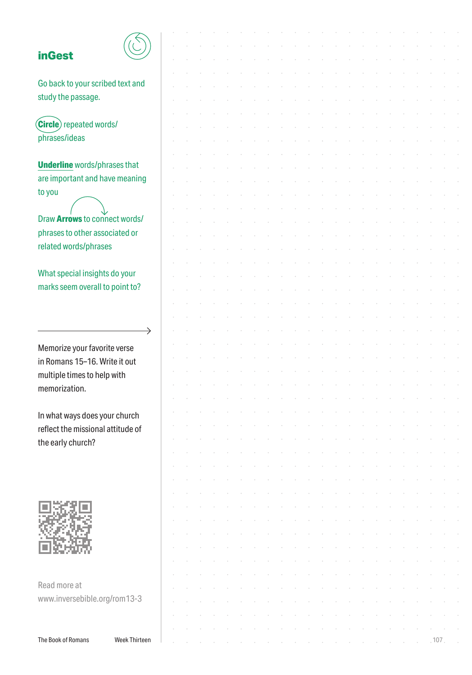#### **inGest**



| <b>inGest</b>                       |               |  |  |  |  |  |  |  |  |  |     |  |
|-------------------------------------|---------------|--|--|--|--|--|--|--|--|--|-----|--|
|                                     |               |  |  |  |  |  |  |  |  |  |     |  |
| Go back to your scribed text and    |               |  |  |  |  |  |  |  |  |  |     |  |
|                                     |               |  |  |  |  |  |  |  |  |  |     |  |
| study the passage.                  |               |  |  |  |  |  |  |  |  |  |     |  |
|                                     |               |  |  |  |  |  |  |  |  |  |     |  |
| <b>Circle</b> repeated words/       |               |  |  |  |  |  |  |  |  |  |     |  |
| phrases/ideas                       |               |  |  |  |  |  |  |  |  |  |     |  |
|                                     |               |  |  |  |  |  |  |  |  |  |     |  |
| <b>Underline</b> words/phrases that |               |  |  |  |  |  |  |  |  |  |     |  |
| are important and have meaning      |               |  |  |  |  |  |  |  |  |  |     |  |
|                                     |               |  |  |  |  |  |  |  |  |  |     |  |
| to you                              |               |  |  |  |  |  |  |  |  |  |     |  |
|                                     |               |  |  |  |  |  |  |  |  |  |     |  |
| Draw Arrows to connect words/       |               |  |  |  |  |  |  |  |  |  |     |  |
| phrases to other associated or      |               |  |  |  |  |  |  |  |  |  |     |  |
| related words/phrases               |               |  |  |  |  |  |  |  |  |  |     |  |
|                                     |               |  |  |  |  |  |  |  |  |  |     |  |
| What special insights do your       |               |  |  |  |  |  |  |  |  |  |     |  |
| marks seem overall to point to?     |               |  |  |  |  |  |  |  |  |  |     |  |
|                                     |               |  |  |  |  |  |  |  |  |  |     |  |
|                                     |               |  |  |  |  |  |  |  |  |  |     |  |
|                                     |               |  |  |  |  |  |  |  |  |  |     |  |
|                                     | →             |  |  |  |  |  |  |  |  |  |     |  |
| Memorize your favorite verse        |               |  |  |  |  |  |  |  |  |  |     |  |
| in Romans 15-16. Write it out       |               |  |  |  |  |  |  |  |  |  |     |  |
|                                     |               |  |  |  |  |  |  |  |  |  |     |  |
| multiple times to help with         |               |  |  |  |  |  |  |  |  |  |     |  |
| memorization.                       |               |  |  |  |  |  |  |  |  |  |     |  |
|                                     |               |  |  |  |  |  |  |  |  |  |     |  |
| In what ways does your church       |               |  |  |  |  |  |  |  |  |  |     |  |
| reflect the missional attitude of   |               |  |  |  |  |  |  |  |  |  |     |  |
| the early church?                   |               |  |  |  |  |  |  |  |  |  |     |  |
|                                     |               |  |  |  |  |  |  |  |  |  |     |  |
|                                     |               |  |  |  |  |  |  |  |  |  |     |  |
|                                     |               |  |  |  |  |  |  |  |  |  |     |  |
|                                     |               |  |  |  |  |  |  |  |  |  |     |  |
|                                     |               |  |  |  |  |  |  |  |  |  |     |  |
|                                     |               |  |  |  |  |  |  |  |  |  |     |  |
|                                     |               |  |  |  |  |  |  |  |  |  |     |  |
|                                     |               |  |  |  |  |  |  |  |  |  |     |  |
|                                     |               |  |  |  |  |  |  |  |  |  |     |  |
|                                     |               |  |  |  |  |  |  |  |  |  |     |  |
|                                     |               |  |  |  |  |  |  |  |  |  |     |  |
| Read more at                        |               |  |  |  |  |  |  |  |  |  |     |  |
| www.inversebible.org/rom13-3        |               |  |  |  |  |  |  |  |  |  |     |  |
|                                     |               |  |  |  |  |  |  |  |  |  |     |  |
|                                     |               |  |  |  |  |  |  |  |  |  |     |  |
| The Book of Romans                  | Week Thirteen |  |  |  |  |  |  |  |  |  | 107 |  |
|                                     |               |  |  |  |  |  |  |  |  |  |     |  |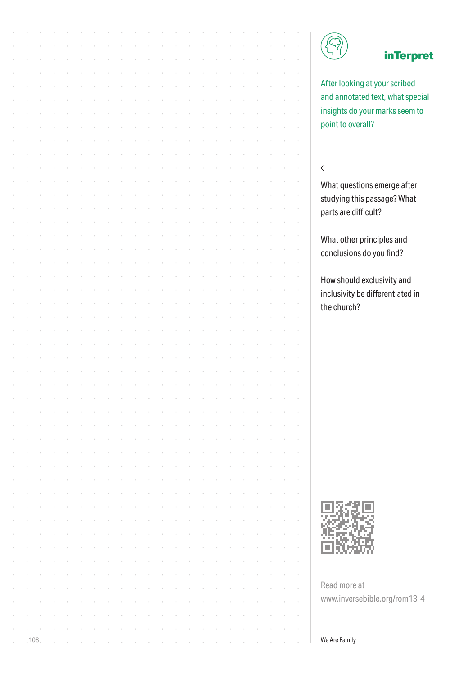

 $\leftarrow$ 

### **inTerpret**

After looking at your scribed and annotated text, what special insights do your marks seem to point to overall?

What questions emerge after studying this passage? What parts are difficult?

What other principles and conclusions do you find?

How should exclusivity and inclusivity be differentiated in the church?



Read more at www.inversebible.org/rom13-4

**108 We Are Family** in the contract of the contract of the contract of the contract of the contract of the contract of the contract of the contract of the contract of the contract of the contract of the contract of the con

|        |        |        |        |        |        |        |                                                     |                 | and a complete the complete state of the complete state of the complete state of the complete state of the complete state of the complete state of the complete state of the complete state of the complete state of the compl |        |        |        |        |        |        |                                                             |        |               |        |        |
|--------|--------|--------|--------|--------|--------|--------|-----------------------------------------------------|-----------------|--------------------------------------------------------------------------------------------------------------------------------------------------------------------------------------------------------------------------------|--------|--------|--------|--------|--------|--------|-------------------------------------------------------------|--------|---------------|--------|--------|
| $\sim$ | $\sim$ | $\sim$ | $\sim$ | $\sim$ | $\sim$ | $\sim$ |                                                     | and the control | $\mathcal{A}(\mathcal{A})$ and $\mathcal{A}(\mathcal{A})$ and $\mathcal{A}(\mathcal{A})$                                                                                                                                       |        |        | $\sim$ | $\sim$ | $\sim$ | $\sim$ | $\mathcal{A}^{\mathcal{A}}$ and $\mathcal{A}^{\mathcal{A}}$ |        | $\sim$        | $\sim$ | $\sim$ |
| $\sim$ | $\sim$ | $\sim$ | $\sim$ | $\sim$ | $\sim$ | $\sim$ | $\sim$                                              | $\sim$          | $\mathcal{A}$ and $\mathcal{A}$ are $\mathcal{A}$ .                                                                                                                                                                            |        | $\sim$ | $\sim$ | $\sim$ | $\sim$ | $\sim$ | $\sim$                                                      | $\sim$ | $\sim$        | $\sim$ | $\sim$ |
| $\sim$ | $\sim$ | $\sim$ | $\sim$ | $\sim$ | $\sim$ | $\sim$ | $\sim$                                              | $\sim$          | $\mathcal{A}^{\mathcal{A}}$ and $\mathcal{A}^{\mathcal{A}}$                                                                                                                                                                    | $\sim$ | $\sim$ | $\sim$ | $\sim$ | $\sim$ | $\sim$ | $\sim$                                                      | $\sim$ | $\sim$        | $\sim$ | $\sim$ |
| $\sim$ | $\sim$ | $\sim$ | $\sim$ | $\sim$ | $\sim$ | $\sim$ | $\sim$                                              | $\sim$          | $\mathcal{A}^{\mathcal{A}}$ and $\mathcal{A}^{\mathcal{A}}$ and $\mathcal{A}^{\mathcal{A}}$                                                                                                                                    |        | $\sim$ | $\sim$ | $\sim$ | $\sim$ | $\sim$ | $\sim$                                                      | $\sim$ | $\sim$        | $\sim$ | $\sim$ |
| $\sim$ | $\sim$ | $\sim$ | $\sim$ | $\sim$ | $\sim$ |        | $\mathcal{A}$ and $\mathcal{A}$ are $\mathcal{A}$ . |                 | $\mathcal{A}(\mathcal{A})$ and $\mathcal{A}(\mathcal{A})$                                                                                                                                                                      |        |        |        |        |        |        |                                                             | $\sim$ | and the state |        | $\sim$ |
|        |        |        |        |        |        |        |                                                     |                 |                                                                                                                                                                                                                                |        |        |        |        |        |        |                                                             |        |               |        |        |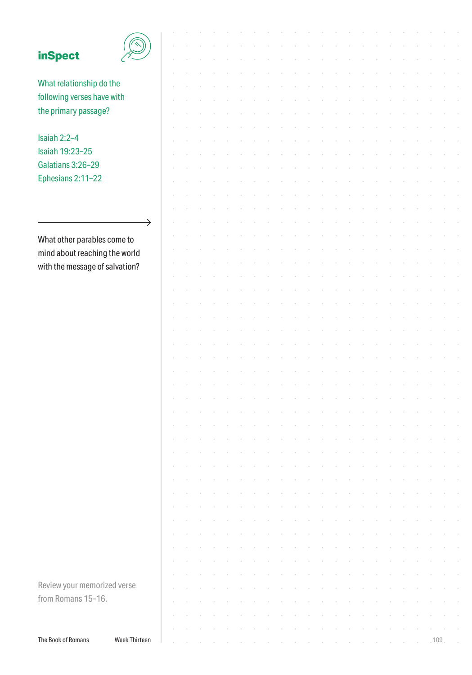| <b>inSpect</b>                 |               |  |  |  |  |  |  |  |  |  |     |  |
|--------------------------------|---------------|--|--|--|--|--|--|--|--|--|-----|--|
|                                |               |  |  |  |  |  |  |  |  |  |     |  |
| What relationship do the       |               |  |  |  |  |  |  |  |  |  |     |  |
|                                |               |  |  |  |  |  |  |  |  |  |     |  |
| following verses have with     |               |  |  |  |  |  |  |  |  |  |     |  |
| the primary passage?           |               |  |  |  |  |  |  |  |  |  |     |  |
|                                |               |  |  |  |  |  |  |  |  |  |     |  |
| Isaiah 2:2-4                   |               |  |  |  |  |  |  |  |  |  |     |  |
| Isaiah 19:23-25                |               |  |  |  |  |  |  |  |  |  |     |  |
| Galatians 3:26-29              |               |  |  |  |  |  |  |  |  |  |     |  |
| Ephesians 2:11-22              |               |  |  |  |  |  |  |  |  |  |     |  |
|                                |               |  |  |  |  |  |  |  |  |  |     |  |
|                                |               |  |  |  |  |  |  |  |  |  |     |  |
|                                |               |  |  |  |  |  |  |  |  |  |     |  |
|                                | $\rightarrow$ |  |  |  |  |  |  |  |  |  |     |  |
| What other parables come to    |               |  |  |  |  |  |  |  |  |  |     |  |
| mind about reaching the world  |               |  |  |  |  |  |  |  |  |  |     |  |
| with the message of salvation? |               |  |  |  |  |  |  |  |  |  |     |  |
|                                |               |  |  |  |  |  |  |  |  |  |     |  |
|                                |               |  |  |  |  |  |  |  |  |  |     |  |
|                                |               |  |  |  |  |  |  |  |  |  |     |  |
|                                |               |  |  |  |  |  |  |  |  |  |     |  |
|                                |               |  |  |  |  |  |  |  |  |  |     |  |
|                                |               |  |  |  |  |  |  |  |  |  |     |  |
|                                |               |  |  |  |  |  |  |  |  |  |     |  |
|                                |               |  |  |  |  |  |  |  |  |  |     |  |
|                                |               |  |  |  |  |  |  |  |  |  |     |  |
|                                |               |  |  |  |  |  |  |  |  |  |     |  |
|                                |               |  |  |  |  |  |  |  |  |  |     |  |
|                                |               |  |  |  |  |  |  |  |  |  |     |  |
|                                |               |  |  |  |  |  |  |  |  |  |     |  |
|                                |               |  |  |  |  |  |  |  |  |  |     |  |
|                                |               |  |  |  |  |  |  |  |  |  |     |  |
|                                |               |  |  |  |  |  |  |  |  |  |     |  |
|                                |               |  |  |  |  |  |  |  |  |  |     |  |
|                                |               |  |  |  |  |  |  |  |  |  |     |  |
|                                |               |  |  |  |  |  |  |  |  |  |     |  |
|                                |               |  |  |  |  |  |  |  |  |  |     |  |
|                                |               |  |  |  |  |  |  |  |  |  |     |  |
|                                |               |  |  |  |  |  |  |  |  |  |     |  |
|                                |               |  |  |  |  |  |  |  |  |  |     |  |
|                                |               |  |  |  |  |  |  |  |  |  |     |  |
|                                |               |  |  |  |  |  |  |  |  |  |     |  |
| Review your memorized verse    |               |  |  |  |  |  |  |  |  |  |     |  |
| from Romans 15-16.             |               |  |  |  |  |  |  |  |  |  |     |  |
|                                |               |  |  |  |  |  |  |  |  |  |     |  |
|                                |               |  |  |  |  |  |  |  |  |  |     |  |
| The Book of Romans             | Week Thirteen |  |  |  |  |  |  |  |  |  | 109 |  |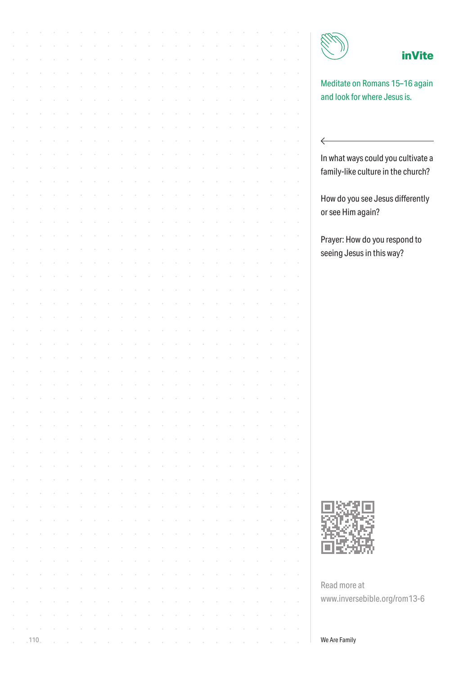|      |  |  |  |  |  |  |  |  |  |  | <b>inVite</b>                                                  |
|------|--|--|--|--|--|--|--|--|--|--|----------------------------------------------------------------|
|      |  |  |  |  |  |  |  |  |  |  |                                                                |
|      |  |  |  |  |  |  |  |  |  |  |                                                                |
|      |  |  |  |  |  |  |  |  |  |  | Meditate on Romans 15-16 again<br>and look for where Jesus is. |
|      |  |  |  |  |  |  |  |  |  |  |                                                                |
|      |  |  |  |  |  |  |  |  |  |  |                                                                |
|      |  |  |  |  |  |  |  |  |  |  |                                                                |
|      |  |  |  |  |  |  |  |  |  |  | $\Leftarrow$                                                   |
|      |  |  |  |  |  |  |  |  |  |  | In what ways could you cultivate a                             |
|      |  |  |  |  |  |  |  |  |  |  | family-like culture in the church?                             |
|      |  |  |  |  |  |  |  |  |  |  |                                                                |
|      |  |  |  |  |  |  |  |  |  |  | How do you see Jesus differently                               |
|      |  |  |  |  |  |  |  |  |  |  | or see Him again?                                              |
|      |  |  |  |  |  |  |  |  |  |  |                                                                |
|      |  |  |  |  |  |  |  |  |  |  | Prayer: How do you respond to                                  |
|      |  |  |  |  |  |  |  |  |  |  | seeing Jesus in this way?                                      |
|      |  |  |  |  |  |  |  |  |  |  |                                                                |
|      |  |  |  |  |  |  |  |  |  |  |                                                                |
|      |  |  |  |  |  |  |  |  |  |  |                                                                |
|      |  |  |  |  |  |  |  |  |  |  |                                                                |
|      |  |  |  |  |  |  |  |  |  |  |                                                                |
|      |  |  |  |  |  |  |  |  |  |  |                                                                |
|      |  |  |  |  |  |  |  |  |  |  |                                                                |
|      |  |  |  |  |  |  |  |  |  |  |                                                                |
|      |  |  |  |  |  |  |  |  |  |  |                                                                |
|      |  |  |  |  |  |  |  |  |  |  |                                                                |
|      |  |  |  |  |  |  |  |  |  |  |                                                                |
|      |  |  |  |  |  |  |  |  |  |  |                                                                |
|      |  |  |  |  |  |  |  |  |  |  |                                                                |
|      |  |  |  |  |  |  |  |  |  |  |                                                                |
|      |  |  |  |  |  |  |  |  |  |  |                                                                |
|      |  |  |  |  |  |  |  |  |  |  |                                                                |
|      |  |  |  |  |  |  |  |  |  |  |                                                                |
|      |  |  |  |  |  |  |  |  |  |  |                                                                |
|      |  |  |  |  |  |  |  |  |  |  |                                                                |
|      |  |  |  |  |  |  |  |  |  |  |                                                                |
|      |  |  |  |  |  |  |  |  |  |  |                                                                |
|      |  |  |  |  |  |  |  |  |  |  |                                                                |
|      |  |  |  |  |  |  |  |  |  |  |                                                                |
|      |  |  |  |  |  |  |  |  |  |  |                                                                |
|      |  |  |  |  |  |  |  |  |  |  | Read more at                                                   |
|      |  |  |  |  |  |  |  |  |  |  | www.inversebible.org/rom13-6                                   |
|      |  |  |  |  |  |  |  |  |  |  |                                                                |
|      |  |  |  |  |  |  |  |  |  |  |                                                                |
| .110 |  |  |  |  |  |  |  |  |  |  | We Are Family                                                  |
|      |  |  |  |  |  |  |  |  |  |  |                                                                |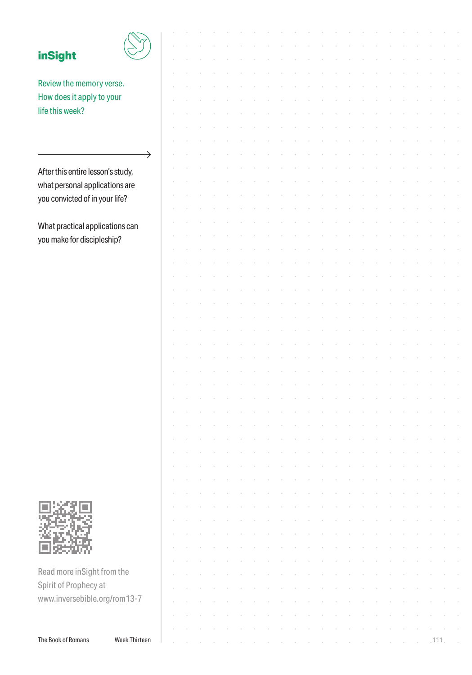| <b>inSight</b>                    |               |  |  |  |  |  |  |  |  |  |     |  |
|-----------------------------------|---------------|--|--|--|--|--|--|--|--|--|-----|--|
|                                   |               |  |  |  |  |  |  |  |  |  |     |  |
| Review the memory verse.          |               |  |  |  |  |  |  |  |  |  |     |  |
| How does it apply to your         |               |  |  |  |  |  |  |  |  |  |     |  |
| life this week?                   |               |  |  |  |  |  |  |  |  |  |     |  |
|                                   |               |  |  |  |  |  |  |  |  |  |     |  |
|                                   |               |  |  |  |  |  |  |  |  |  |     |  |
|                                   |               |  |  |  |  |  |  |  |  |  |     |  |
|                                   | $\rightarrow$ |  |  |  |  |  |  |  |  |  |     |  |
| After this entire lesson's study, |               |  |  |  |  |  |  |  |  |  |     |  |
| what personal applications are    |               |  |  |  |  |  |  |  |  |  |     |  |
| you convicted of in your life?    |               |  |  |  |  |  |  |  |  |  |     |  |
|                                   |               |  |  |  |  |  |  |  |  |  |     |  |
| What practical applications can   |               |  |  |  |  |  |  |  |  |  |     |  |
| you make for discipleship?        |               |  |  |  |  |  |  |  |  |  |     |  |
|                                   |               |  |  |  |  |  |  |  |  |  |     |  |
|                                   |               |  |  |  |  |  |  |  |  |  |     |  |
|                                   |               |  |  |  |  |  |  |  |  |  |     |  |
|                                   |               |  |  |  |  |  |  |  |  |  |     |  |
|                                   |               |  |  |  |  |  |  |  |  |  |     |  |
|                                   |               |  |  |  |  |  |  |  |  |  |     |  |
|                                   |               |  |  |  |  |  |  |  |  |  |     |  |
|                                   |               |  |  |  |  |  |  |  |  |  |     |  |
|                                   |               |  |  |  |  |  |  |  |  |  |     |  |
|                                   |               |  |  |  |  |  |  |  |  |  |     |  |
|                                   |               |  |  |  |  |  |  |  |  |  |     |  |
|                                   |               |  |  |  |  |  |  |  |  |  |     |  |
|                                   |               |  |  |  |  |  |  |  |  |  |     |  |
|                                   |               |  |  |  |  |  |  |  |  |  |     |  |
|                                   |               |  |  |  |  |  |  |  |  |  |     |  |
|                                   |               |  |  |  |  |  |  |  |  |  |     |  |
|                                   |               |  |  |  |  |  |  |  |  |  |     |  |
|                                   |               |  |  |  |  |  |  |  |  |  |     |  |
|                                   |               |  |  |  |  |  |  |  |  |  |     |  |
|                                   |               |  |  |  |  |  |  |  |  |  |     |  |
|                                   |               |  |  |  |  |  |  |  |  |  |     |  |
|                                   |               |  |  |  |  |  |  |  |  |  |     |  |
|                                   |               |  |  |  |  |  |  |  |  |  |     |  |
|                                   |               |  |  |  |  |  |  |  |  |  |     |  |
|                                   |               |  |  |  |  |  |  |  |  |  |     |  |
|                                   |               |  |  |  |  |  |  |  |  |  |     |  |
| Read more inSight from the        |               |  |  |  |  |  |  |  |  |  |     |  |
| Spirit of Prophecy at             |               |  |  |  |  |  |  |  |  |  |     |  |
| www.inversebible.org/rom13-7      |               |  |  |  |  |  |  |  |  |  |     |  |
|                                   |               |  |  |  |  |  |  |  |  |  |     |  |
|                                   |               |  |  |  |  |  |  |  |  |  |     |  |
| The Book of Romans                | Week Thirteen |  |  |  |  |  |  |  |  |  | 111 |  |